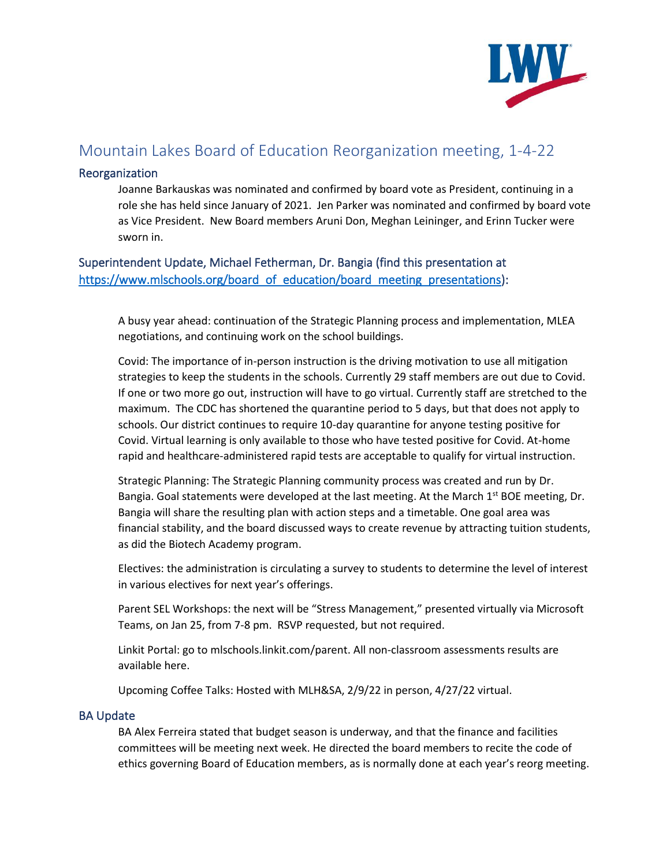

# Mountain Lakes Board of Education Reorganization meeting, 1-4-22

#### Reorganization

Joanne Barkauskas was nominated and confirmed by board vote as President, continuing in a role she has held since January of 2021. Jen Parker was nominated and confirmed by board vote as Vice President. New Board members Aruni Don, Meghan Leininger, and Erinn Tucker were sworn in.

Superintendent Update, Michael Fetherman, Dr. Bangia (find this presentation at [https://www.mlschools.org/board\\_of\\_education/board\\_meeting\\_presentations\)](https://www.mlschools.org/board_of_education/board_meeting_presentations):

A busy year ahead: continuation of the Strategic Planning process and implementation, MLEA negotiations, and continuing work on the school buildings.

Covid: The importance of in-person instruction is the driving motivation to use all mitigation strategies to keep the students in the schools. Currently 29 staff members are out due to Covid. If one or two more go out, instruction will have to go virtual. Currently staff are stretched to the maximum. The CDC has shortened the quarantine period to 5 days, but that does not apply to schools. Our district continues to require 10-day quarantine for anyone testing positive for Covid. Virtual learning is only available to those who have tested positive for Covid. At-home rapid and healthcare-administered rapid tests are acceptable to qualify for virtual instruction.

Strategic Planning: The Strategic Planning community process was created and run by Dr. Bangia. Goal statements were developed at the last meeting. At the March  $1^{st}$  BOE meeting, Dr. Bangia will share the resulting plan with action steps and a timetable. One goal area was financial stability, and the board discussed ways to create revenue by attracting tuition students, as did the Biotech Academy program.

Electives: the administration is circulating a survey to students to determine the level of interest in various electives for next year's offerings.

Parent SEL Workshops: the next will be "Stress Management," presented virtually via Microsoft Teams, on Jan 25, from 7-8 pm. RSVP requested, but not required.

Linkit Portal: go to mlschools.linkit.com/parent. All non-classroom assessments results are available here.

Upcoming Coffee Talks: Hosted with MLH&SA, 2/9/22 in person, 4/27/22 virtual.

#### BA Update

BA Alex Ferreira stated that budget season is underway, and that the finance and facilities committees will be meeting next week. He directed the board members to recite the code of ethics governing Board of Education members, as is normally done at each year's reorg meeting.